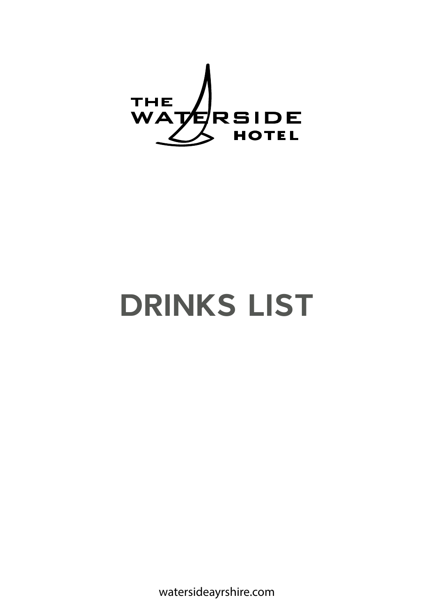

# **DRINKS LIST**

watersideayrshire.com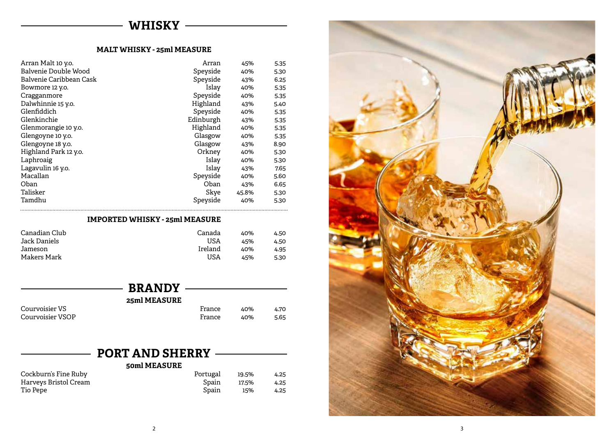# - WHISKY -

#### **MALT WHISKY - 25ml MEASURE**

| Arran Malt 10 y.o.      | Arran     | 45%   | 5.35 |
|-------------------------|-----------|-------|------|
| Balvenie Double Wood    | Speyside  | 40%   | 5.30 |
| Balvenie Caribbean Cask | Speyside  | 43%   | 6.25 |
| Bowmore 12 y.o.         | Islay     | 40%   | 5.35 |
| Cragganmore             | Speyside  | 40%   | 5.35 |
| Dalwhinnie 15 y.o.      | Highland  | 43%   | 5.40 |
| Glenfiddich             | Speyside  | 40%   | 5.35 |
| Glenkinchie             | Edinburgh | 43%   | 5.35 |
| Glenmorangie 10 y.o.    | Highland  | 40%   | 5.35 |
| Glengoyne 10 y.o.       | Glasgow   | 40%   | 5.35 |
| Glengoyne 18 y.o.       | Glasgow   | 43%   | 8.90 |
| Highland Park 12 y.o.   | Orkney    | 40%   | 5.30 |
| Laphroaig               | Islay     | 40%   | 5.30 |
| Lagavulin 16 y.o.       | Islay     | 43%   | 7.65 |
| Macallan                | Speyside  | 40%   | 5.60 |
| Oban                    | Oban      | 43%   | 6.65 |
| Talisker                | Skye      | 45.8% | 5.30 |
| Tamdhu                  | Speyside  | 40%   | 5.30 |
|                         |           |       |      |

#### **IMPORTED WHISKY - 25ml MEASURE**

| Canadian Club | Canada  | 40% | 4.50 |
|---------------|---------|-----|------|
| Jack Daniels  | USA     | 45% | 4.50 |
| Jameson       | Ireland | 40% | 4.95 |
| Makers Mark   | USA     | 45% | 5.30 |

| <b>BRANDY</b>    |        |     |      |
|------------------|--------|-----|------|
| 25ml MEASURE     |        |     |      |
|                  |        |     |      |
| Courvoisier VS   | France | 40% | 4.70 |
| Courvoisier VSOP | France | 40% | 5.65 |

| <b>PORT AND SHERRY</b> |              |       |      |
|------------------------|--------------|-------|------|
|                        |              |       |      |
|                        | 50ml MEASURE |       |      |
| Cockburn's Fine Ruby   | Portugal     | 19.5% | 4.25 |
| Harveys Bristol Cream  | Spain        | 17.5% | 4.25 |
| Tio Pepe               | Spain        | 15%   | 4.25 |

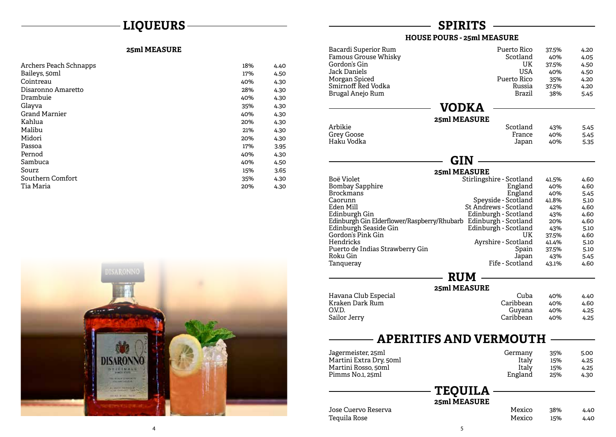# **LIQUEURS**

#### **25ml MEASURE**

| Archers Peach Schnapps | 18% | 4.40 |
|------------------------|-----|------|
| Baileys, 50ml          | 17% | 4.50 |
| Cointreau              | 40% | 4.30 |
| Disaronno Amaretto     | 28% | 4.30 |
| Drambuie               | 40% | 4.30 |
| Glayva                 | 35% | 4.30 |
| <b>Grand Marnier</b>   | 40% | 4.30 |
| Kahlua                 | 20% | 4.30 |
| Malibu                 | 21% | 4.30 |
| Midori                 | 20% | 4.30 |
| Passoa                 | 17% | 3.95 |
| Pernod                 | 40% | 4.30 |
| Sambuca                | 40% | 4.50 |
| Sourz                  | 15% | 3.65 |
| Southern Comfort       | 35% | 4.30 |
| Tia Maria              | 20% | 4.30 |



# **SPIRITS**

#### **HOUSE POURS - 25ml MEASURE**

| Bacardi Superior Rum<br>Famous Grouse Whisky<br>Gordon's Gin<br>Jack Daniels<br>Morgan Spiced<br>Smirnoff Red Vodka<br>Brugal Anejo Rum | Puerto Rico<br>Scotland<br><b>UK</b><br><b>USA</b><br>Puerto Rico<br>Russia<br>Brazil | 37.5%<br>40%<br>37.5%<br>40%<br>35%<br>37.5%<br>38% | 4.20<br>4.05<br>4.50<br>4.50<br>4.20<br>4.20<br>5.45 |
|-----------------------------------------------------------------------------------------------------------------------------------------|---------------------------------------------------------------------------------------|-----------------------------------------------------|------------------------------------------------------|
|                                                                                                                                         | <b>VODKA</b>                                                                          |                                                     |                                                      |
|                                                                                                                                         | 25ml MEASURE                                                                          |                                                     |                                                      |
| Arbikie                                                                                                                                 | Scotland                                                                              | 43%                                                 | 5.45                                                 |
| <b>Grey Goose</b>                                                                                                                       | France                                                                                | 40%                                                 | 5.45                                                 |
| Haku Vodka                                                                                                                              | Japan                                                                                 | 40%                                                 | 5.35                                                 |
|                                                                                                                                         |                                                                                       |                                                     |                                                      |
|                                                                                                                                         | GIN                                                                                   |                                                     |                                                      |
|                                                                                                                                         |                                                                                       |                                                     |                                                      |
| Boë Violet                                                                                                                              | 25ml MEASURE                                                                          |                                                     |                                                      |
| Bombay Sapphire                                                                                                                         | Stirlingshire - Scotland<br>England                                                   | 41.5%<br>40%                                        | 4.60<br>4.60                                         |
| <b>Brockmans</b>                                                                                                                        | England                                                                               | 40%                                                 | 5.45                                                 |
| Caorunn                                                                                                                                 | Speyside - Scotland                                                                   | 41.8%                                               | 5.10                                                 |
| Eden Mill                                                                                                                               | St Andrews - Scotland                                                                 | 42%                                                 | 4.60                                                 |
| Edinburgh Gin                                                                                                                           | Edinburgh - Scotland                                                                  | 43%                                                 | 4.60                                                 |
| Edinburgh Gin Elderflower/Raspberry/Rhubarb Edinburgh - Scotland                                                                        |                                                                                       | 20%                                                 | 4.60                                                 |
| Edinburgh Seaside Gin                                                                                                                   | Edinburgh - Scotland                                                                  | 43%                                                 | 5.10                                                 |
| Gordon's Pink Gin                                                                                                                       | UK                                                                                    | 37.5%                                               | 4.60                                                 |
| Hendricks                                                                                                                               | Ayrshire - Scotland                                                                   | 41.4%                                               | 5.10                                                 |
| Puerto de Indias Strawberry Gin                                                                                                         | Spain                                                                                 | 37.5%                                               | 5.10                                                 |
| Roku Gin                                                                                                                                | Japan                                                                                 | 43%                                                 | 5.45                                                 |
| Tanqueray                                                                                                                               | Fife - Scotland                                                                       | 43.1%                                               | 4.60                                                 |
|                                                                                                                                         | <b>RUM</b>                                                                            |                                                     |                                                      |
|                                                                                                                                         | 25ml MEASURE                                                                          |                                                     |                                                      |
| Havana Club Especial                                                                                                                    | Cuba                                                                                  | 40%                                                 |                                                      |
| Kraken Dark Rum                                                                                                                         | Caribbean                                                                             | 40%                                                 | 4.40<br>4.60                                         |
| O.V.D.                                                                                                                                  | Guyana                                                                                | 40%                                                 | 4.25                                                 |
|                                                                                                                                         | Caribbean                                                                             | 40%                                                 | 4.25                                                 |
| Sailor Jerry                                                                                                                            |                                                                                       |                                                     |                                                      |

# **APERITIFS AND VERMOUTH**

| Jagermeister, 25ml      | Germany | 35% | 5.00 |
|-------------------------|---------|-----|------|
| Martini Extra Dry, 50ml | Italy   | 15% | 4.25 |
| Martini Rosso, 50ml     | Italy   | 15% | 4.25 |
| Pimms No.1, 25ml        | England | 25% | 4.30 |

### **TEQUILA**

**25ml MEASURE**

Jose Cuervo Reserva Tequila Rose

 $\overline{\phantom{a}}$ 

| Mexico | 38% | 4.40 |
|--------|-----|------|
| Mexico | 15% | 4.40 |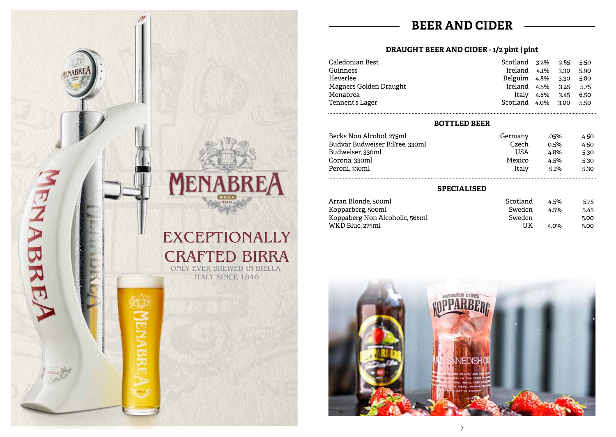# **BEER AND CIDER**

#### **DRAUGHT BEER AND CIDER - 1/2 pint | pint**

| Caledonian Best        | Scotland 3.2%     |            | 2.85 | 5.50 |
|------------------------|-------------------|------------|------|------|
| Guinness               | Ireland 4.1%      |            | 3.30 | 5.90 |
| Heverlee               | Belguim 4.8% 3.30 |            |      | 5.80 |
| Magners Golden Draught | Ireland 4.5%      |            | 3.25 | 5.75 |
| Menabrea               |                   | Italy 4.8% | 3.45 | 6.50 |
| Tennent's Lager        | Scotland 4.0%     |            | 3.00 | 5.50 |

#### **BOTTLED BEER**

| Becks Non Alcohol, 275ml       | Germany | .05%    | 4.50 |
|--------------------------------|---------|---------|------|
| Budvar Budweiser B:Free, 330ml | Czech   | 0.5%    | 4.50 |
| Budweiser, 330ml               | USA     | 4.8%    | 5.30 |
| Corona. 330ml                  | Mexico  | 4.5%    | 5.30 |
| Peroni, 330ml                  | Italv   | $5.1\%$ | 5.30 |
|                                |         |         |      |

#### **SPECIALISED**

| Arran Blonde, 500ml            | Scotland | 4.5%    | 5.75 |
|--------------------------------|----------|---------|------|
| Kopparberg, 500ml              | Sweden   | 4.5%    | 5.45 |
| Koppaberg Non Alcoholic, 568ml | Sweden   |         | 5.00 |
| WKD Blue. 275ml                | UK       | $4.0\%$ | 5.00 |
|                                |          |         |      |





# CRAFTED BIRRA ONLY EVER BREWED IN BIELLA,

ENABREA

ITALY SINCE 1846

NABH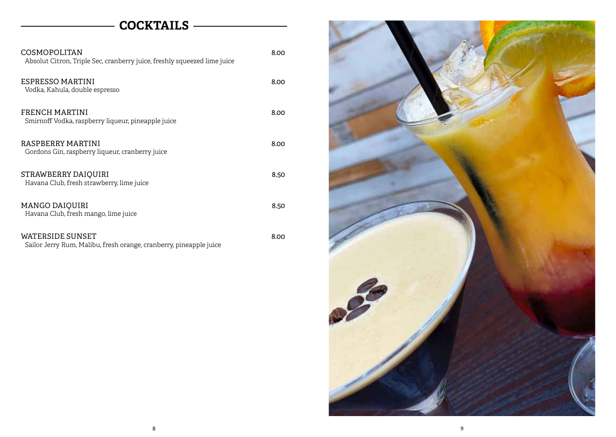# **COCKTAILS**

| COSMOPOLITAN<br>Absolut Citron, Triple Sec, cranberry juice, freshly squeezed lime juice | 8.00 |
|------------------------------------------------------------------------------------------|------|
| ESPRESSO MARTINI<br>Vodka, Kahula, double espresso                                       | 8.00 |
| FRENCH MARTINI<br>Smirnoff Vodka, raspberry liqueur, pineapple juice                     | 8.00 |
| RASPBERRY MARTINI<br>Gordons Gin, raspberry liqueur, cranberry juice                     | 8.00 |
| STRAWBERRY DAIQUIRI<br>Havana Club, fresh strawberry, lime juice                         | 8.50 |
| <b>MANGO DAIQUIRI</b><br>Havana Club, fresh mango, lime juice                            | 8.50 |
| WATERSIDE SUNSET                                                                         | 8.00 |

|  | Sailor Jerry Rum, Malibu, fresh orange, cranberry, pineapple juice |  |  |  |  |  |  |  |
|--|--------------------------------------------------------------------|--|--|--|--|--|--|--|

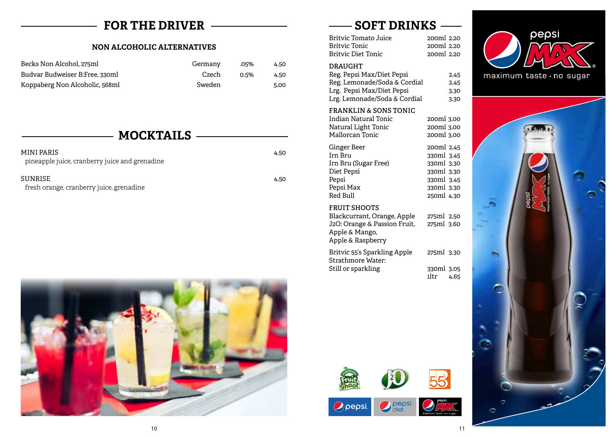# **FOR THE DRIVER**

#### **NON ALCOHOLIC ALTERNATIVES**

| Becks Non Alcohol. 275ml       | Germany | .05%    | 4.50 |
|--------------------------------|---------|---------|------|
| Budvar Budweiser B:Free, 330ml | Czech   | $0.5\%$ | 4.50 |
| Koppaberg Non Alcoholic, 568ml | Sweden  |         | 5.00 |

# **MOCKTAILS**

| MINI PARIS                                     | 4.50 |
|------------------------------------------------|------|
| pineapple juice, cranberry juice and grenadine |      |
| SUNRISE.                                       |      |
|                                                | 4.50 |
| fresh orange, cranberry juice, grenadine       |      |



# **SOFT DRINKS**

| Britvic Tomato Juice      | 200ml 2.20 |
|---------------------------|------------|
| Britvic Tonic             | 200ml 2.20 |
| <b>Britvic Diet Tonic</b> | 200ml 2.20 |
|                           |            |

#### **DRAUGHT**

| Reg. Pepsi Max/Diet Pepsi    | 2.45 |
|------------------------------|------|
| Reg. Lemonade/Soda & Cordial | 2.45 |
| Lrg. Pepsi Max/Diet Pepsi    | 3.30 |
| Lrg. Lemonade/Soda & Cordial | 3.30 |

#### **FRANKLIN & SONS TONIC**

| Indian Natural Tonic | 200ml 3.00 |
|----------------------|------------|
| Natural Light Tonic  | 200ml 3.00 |
| Mallorcan Tonic      | 200ml 3.00 |
| Ginger Beer          | 200ml 2.45 |
| Irn Bru              | 330ml 3.45 |
| Irn Bru (Sugar Free) | 330ml 3.30 |
| Diet Pepsi           | 330ml 3.30 |
| Pepsi                | 330ml 3.45 |
| Pepsi Max            | 330ml 3.30 |
| <b>Red Bull</b>      | 250ml 4.30 |

#### **FRUIT SHOOTS**

 $O$  pepsi

| Blackcurrant, Orange, Apple  | 275ml 2.50 |
|------------------------------|------------|
| J2O: Orange & Passion Fruit, | 275ml 3.60 |
| Apple & Mango,               |            |
| Apple & Raspberry            |            |
| Britvic 55's Sparkling Apple | 275ml 3.30 |
| Strathmore Water:            |            |

| Strathmore Water:  |              |
|--------------------|--------------|
| Still or sparkling | 330ml 3.05   |
|                    | ıltr<br>4.65 |















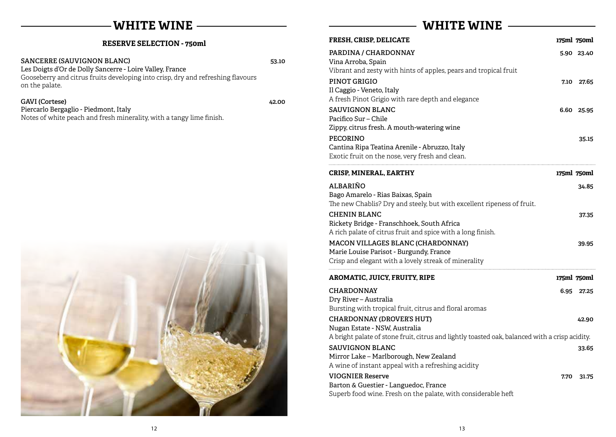### **WHITE WINE**

|  | <b>RESERVE SELECTION - 750ml</b> |  |
|--|----------------------------------|--|
|--|----------------------------------|--|

SANCERRE (SAUVIGNON BLANC) 53.10

Les Doigts d'Or de Dolly Sancerre - Loire Valley, France Gooseberry and citrus fruits developing into crisp, dry and refreshing flavours on the palate.

**GAVI (Cortese) 42.00** Piercarlo Bergaglio - Piedmont, Italy





# **WHITE WINE**

| <b>FRESH, CRISP, DELICATE</b>                                                                                                                                       | 175ml 750ml |            |
|---------------------------------------------------------------------------------------------------------------------------------------------------------------------|-------------|------------|
| PARDINA / CHARDONNAY<br>Vina Arroba, Spain<br>Vibrant and zesty with hints of apples, pears and tropical fruit                                                      |             | 5.90 23.40 |
| PINOT GRIGIO<br>Il Caggio - Veneto, Italy<br>A fresh Pinot Grigio with rare depth and elegance                                                                      | 7.10        | 27.65      |
| <b>SAUVIGNON BLANC</b><br>Pacifico Sur – Chile<br>Zippy, citrus fresh. A mouth-watering wine                                                                        |             | 6.60 25.95 |
| <b>PECORINO</b><br>Cantina Ripa Teatina Arenile - Abruzzo, Italy<br>Exotic fruit on the nose, very fresh and clean.                                                 |             | 35.15      |
| CRISP, MINERAL, EARTHY                                                                                                                                              | 175ml 750ml |            |
| ALBARIÑO<br>Bago Amarelo - Rias Baixas, Spain<br>The new Chablis? Dry and steely, but with excellent ripeness of fruit.                                             |             | 34.85      |
| <b>CHENIN BLANC</b><br>Rickety Bridge - Franschhoek, South Africa<br>A rich palate of citrus fruit and spice with a long finish.                                    |             | 37.35      |
| MACON VILLAGES BLANC (CHARDONNAY)<br>Marie Louise Parisot - Burgundy, France<br>Crisp and elegant with a lovely streak of minerality                                |             | 39.95      |
| <b>AROMATIC, JUICY, FRUITY, RIPE</b>                                                                                                                                | 175ml 750ml |            |
| <b>CHARDONNAY</b><br>Dry River - Australia<br>Bursting with tropical fruit, citrus and floral aromas                                                                | 6.95        | 27.25      |
| <b>CHARDONNAY (DROVER'S HUT)</b><br>Nugan Estate - NSW, Australia<br>A bright palate of stone fruit, citrus and lightly toasted oak, balanced with a crisp acidity. |             | 42.90      |
| <b>SAUVIGNON BLANC</b><br>Mirror Lake - Marlborough, New Zealand<br>A wine of instant appeal with a refreshing acidity                                              |             | 33.65      |
| <b>VIOGNIER Reserve</b><br>Barton & Guestier - Languedoc, France<br>Superb food wine. Fresh on the palate, with considerable heft                                   | 7.70        | 31.75      |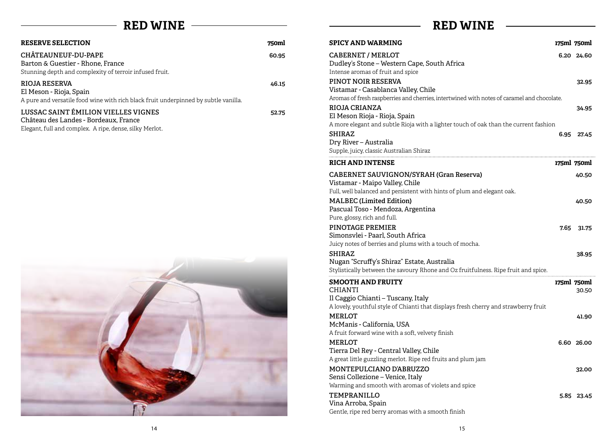# **RED WINE**

# **RED WINE**

 $\overline{\phantom{0}}$ 

| <b>RESERVE SELECTION</b>                                                                                                                       | 750ml |
|------------------------------------------------------------------------------------------------------------------------------------------------|-------|
| CHÂTEAUNEUF-DU-PAPE<br>Barton & Guestier - Rhone, France<br>Stunning depth and complexity of terroir infused fruit.                            | 60.95 |
| <b>RIOJA RESERVA</b><br>El Meson - Rioja, Spain<br>A pure and versatile food wine with rich black fruit underpinned by subtle vanilla.         | 46.15 |
| <b>LUSSAC SAINT ÉMILION VIELLES VIGNES</b><br>Château des Landes - Bordeaux, France<br>Elegant, full and complex. A ripe, dense, silky Merlot. | 52.75 |



| <b>SPICY AND WARMING</b>                                                                                                                                         |      | 175ml 750ml          |
|------------------------------------------------------------------------------------------------------------------------------------------------------------------|------|----------------------|
| <b>CABERNET / MERLOT</b><br>Dudley's Stone - Western Cape, South Africa<br>Intense aromas of fruit and spice                                                     |      | 6.20 24.60           |
| PINOT NOIR RESERVA<br>Vistamar - Casablanca Valley, Chile<br>Aromas of fresh raspberries and cherries, intertwined with notes of caramel and chocolate.          |      | 32.95                |
| RIOJA CRIANZA<br>El Meson Rioja - Rioja, Spain<br>A more elegant and subtle Rioja with a lighter touch of oak than the current fashion                           |      | 34.95                |
| <b>SHIRAZ</b><br>Dry River - Australia<br>Supple, juicy, classic Australian Shiraz                                                                               |      | 6.95 27.45           |
| <b>RICH AND INTENSE</b>                                                                                                                                          |      | 175ml 750ml          |
| <b>CABERNET SAUVIGNON/SYRAH (Gran Reserva)</b><br>Vistamar - Maipo Valley, Chile<br>Full, well balanced and persistent with hints of plum and elegant oak.       |      | 40.50                |
| <b>MALBEC</b> (Limited Edition)<br>Pascual Toso - Mendoza, Argentina<br>Pure, glossy, rich and full.                                                             |      | 40.50                |
| PINOTAGE PREMIER<br>Simonsvlei - Paarl, South Africa<br>Juicy notes of berries and plums with a touch of mocha.                                                  | 7.65 | 31.75                |
| <b>SHIRAZ</b><br>Nugan "Scruffy's Shiraz" Estate, Australia<br>Stylistically between the savoury Rhone and Oz fruitfulness. Ripe fruit and spice.                |      | 38.95                |
| <b>SMOOTH AND FRUITY</b><br>CHIANTI<br>Il Caggio Chianti - Tuscany, Italy<br>A lovely, youthful style of Chianti that displays fresh cherry and strawberry fruit |      | 175ml 750ml<br>30.50 |
| MERLOT<br>McManis - California, USA<br>A fruit forward wine with a soft, velvety finish                                                                          |      | 41.90                |
| MERLOT<br>Tierra Del Rey - Central Valley, Chile<br>A great little guzzling merlot. Ripe red fruits and plum jam                                                 |      | 6.60 26.00           |
| MONTEPULCIANO D'ABRUZZO<br>Sensi Collezione - Venice, Italy<br>Warming and smooth with aromas of violets and spice                                               |      | 32.00                |
| TEMPRANILLO<br>Vina Arroba, Spain<br>Gentle, ripe red berry aromas with a smooth finish                                                                          |      | 5.85 23.45           |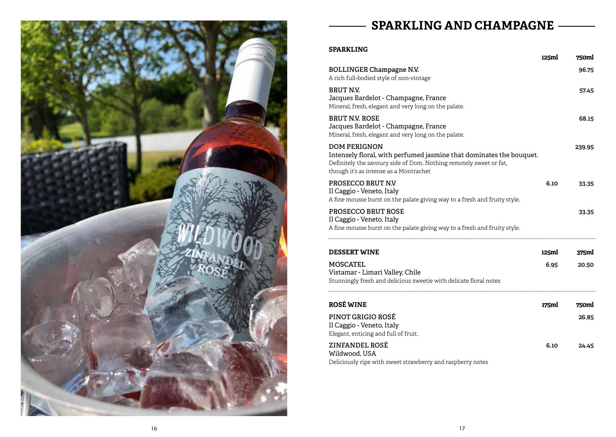

# **SPARKLING AND CHAMPAGNE**

# **SPARKLING**

|                                                                                                                                                                                                            | 125ml | 750ml  |
|------------------------------------------------------------------------------------------------------------------------------------------------------------------------------------------------------------|-------|--------|
| <b>BOLLINGER Champagne N.V.</b><br>A rich full-bodied style of non-vintage                                                                                                                                 |       | 96.75  |
| <b>BRUT N.V.</b><br>Jacques Bardelot - Champagne, France<br>Mineral, fresh, elegant and very long on the palate.                                                                                           |       | 57.45  |
| <b>BRUT NV. ROSE</b><br>Jacques Bardelot - Champagne, France<br>Mineral, fresh, elegant and very long on the palate.                                                                                       |       | 68.15  |
| <b>DOM PERIGNON</b><br>Intensely floral, with perfumed jasmine that dominates the bouquet.<br>Definitely the savoury side of Dom. Nothing remotely sweet or fat,<br>though it's as intense as a Montrachet |       | 239.95 |
| PROSECCO BRUT N.V<br>Il Caggio - Veneto, Italy<br>A fine mousse burst on the palate giving way to a fresh and fruity style.                                                                                | 6.10  | 33.35  |
| PROSECCO BRUT ROSE<br>Il Caggio - Veneto, Italy<br>A fine mousse burst on the palate giving way to a fresh and fruity style.                                                                               |       | 33.35  |
| <b>DESSERT WINE</b>                                                                                                                                                                                        | 125ml | 375ml  |
| <b>MOSCATEL</b><br>Vistamar - Limari Valley, Chile<br>Stunningly fresh and delicious sweetie with delicate floral notes                                                                                    | 6.95  | 20.50  |
| <b>ROSÉ WINE</b>                                                                                                                                                                                           | 175ml | 750ml  |
| <b>PINOT GRIGIO ROSÉ</b><br>Il Caggio - Veneto, Italy<br>Elegant, enticing and full of fruit.                                                                                                              |       | 26.85  |
| ZINFANDEL ROSÉ<br>Wildwood, USA<br>Deliciously ripe with sweet strawberry and raspberry notes                                                                                                              | 6.10  | 24.45  |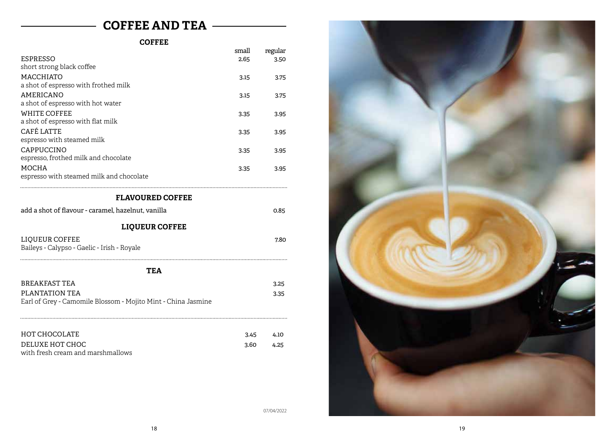# **COFFEE AND TEA**

#### **COFFEE**

|                                                               | small | regular |  |
|---------------------------------------------------------------|-------|---------|--|
| <b>ESPRESSO</b>                                               | 2.65  | 3.50    |  |
| short strong black coffee                                     |       |         |  |
| MACCHIATO                                                     | 3.15  | 3.75    |  |
| a shot of espresso with frothed milk                          |       |         |  |
| <b>AMERICANO</b>                                              | 3.15  | 3.75    |  |
| a shot of espresso with hot water                             |       |         |  |
| <b>WHITE COFFEE</b>                                           | 3.35  | 3.95    |  |
| a shot of espresso with flat milk                             |       |         |  |
| <b>CAFÉ LATTE</b>                                             | 3.35  | 3.95    |  |
| espresso with steamed milk                                    |       |         |  |
| CAPPUCCINO                                                    | 3.35  | 3.95    |  |
| espresso, frothed milk and chocolate                          |       |         |  |
| <b>MOCHA</b>                                                  | 3.35  | 3.95    |  |
| espresso with steamed milk and chocolate                      |       |         |  |
|                                                               |       |         |  |
| <b>FLAVOURED COFFEE</b>                                       |       |         |  |
| add a shot of flavour - caramel, hazelnut, vanilla            |       | 0.85    |  |
| <b>LIQUEUR COFFEE</b>                                         |       |         |  |
| LIQUEUR COFFEE                                                |       | 7.80    |  |
| Baileys - Calypso - Gaelic - Irish - Royale                   |       |         |  |
|                                                               |       |         |  |
| <b>TEA</b>                                                    |       |         |  |
| <b>BREAKFAST TEA</b>                                          |       | 3.25    |  |
| PLANTATION TEA                                                |       | 3.35    |  |
| Earl of Grey - Camomile Blossom - Mojito Mint - China Jasmine |       |         |  |
|                                                               |       |         |  |
|                                                               |       |         |  |
|                                                               |       |         |  |
| HOT CHOCOLATE                                                 | 3.45  | 4.10    |  |
| DELUXE HOT CHOC                                               | 3.60  | 4.25    |  |
| with fresh cream and marshmallows                             |       |         |  |



07/04/2022